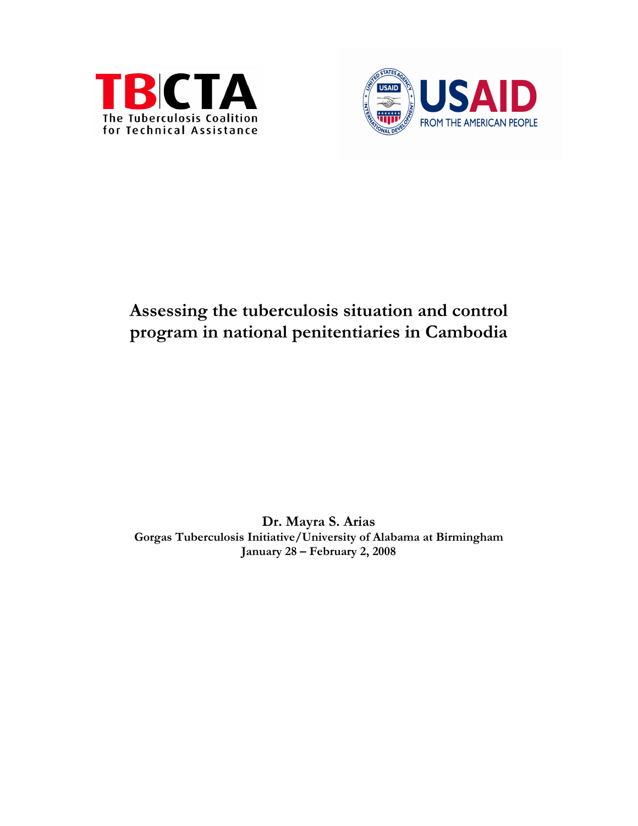



# Assessing the tuberculosis situation and control program in national penitentiaries in Cambodia

Dr. Mayra S. Arias Gorgas Tuberculosis Initiative/University of Alabama at Birmingham January 28 – February 2, 2008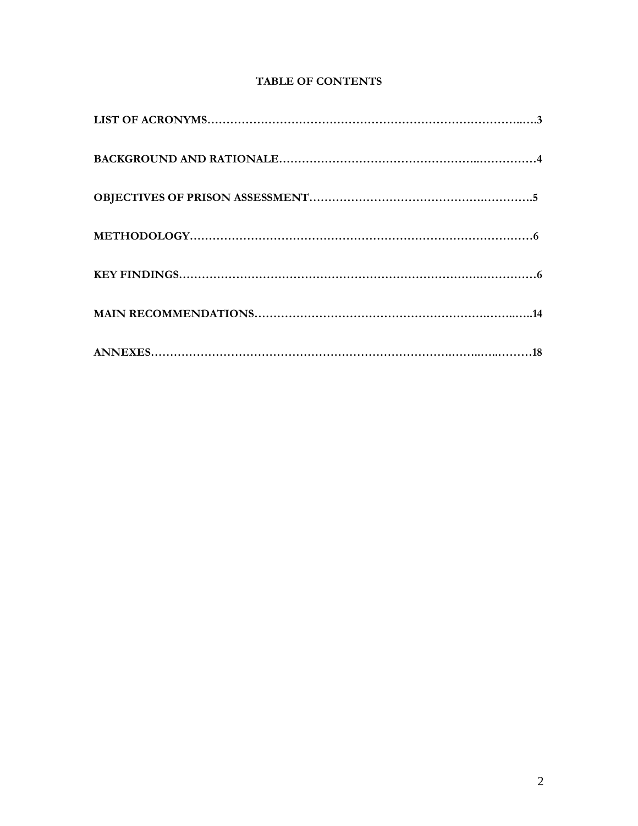# TABLE OF CONTENTS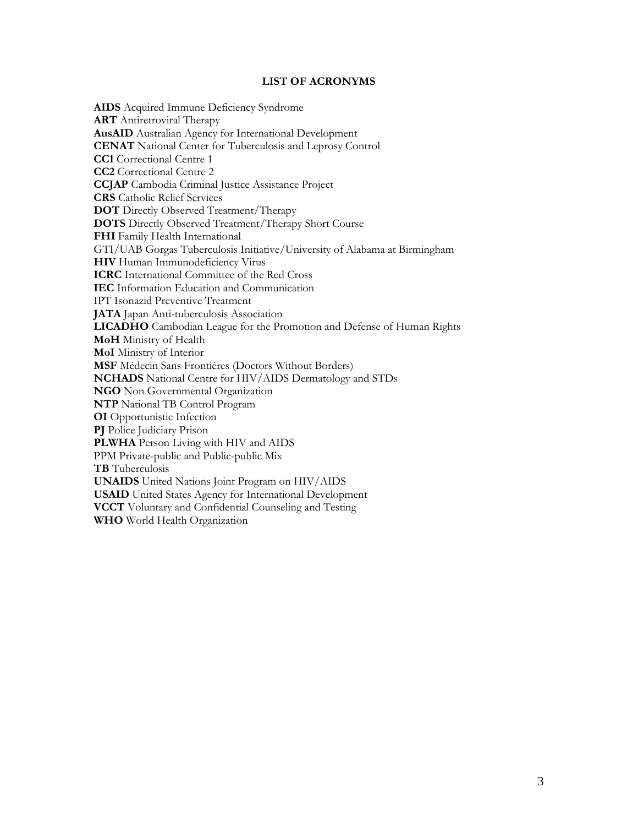#### LIST OF ACRONYMS

AIDS Acquired Immune Deficiency Syndrome **ART** Antiretroviral Therapy AusAID Australian Agency for International Development CENAT National Center for Tuberculosis and Leprosy Control CC1 Correctional Centre 1 CC2 Correctional Centre 2 CCJAP Cambodia Criminal Justice Assistance Project CRS Catholic Relief Services DOT Directly Observed Treatment/Therapy DOTS Directly Observed Treatment/Therapy Short Course FHI Family Health International GTI/UAB Gorgas Tuberculosis Initiative/University of Alabama at Birmingham HIV Human Immunodeficiency Virus ICRC International Committee of the Red Cross IEC Information Education and Communication IPT Isonazid Preventive Treatment JATA Japan Anti-tuberculosis Association LICADHO Cambodian League for the Promotion and Defense of Human Rights MoH Ministry of Health MoI Ministry of Interior MSF Médecin Sans Frontières (Doctors Without Borders) NCHADS National Centre for HIV/AIDS Dermatology and STDs NGO Non Governmental Organization NTP National TB Control Program OI Opportunistic Infection PJ Police Judiciary Prison PLWHA Person Living with HIV and AIDS PPM Private-public and Public-public Mix TB Tuberculosis UNAIDS United Nations Joint Program on HIV/AIDS USAID United States Agency for International Development VCCT Voluntary and Confidential Counseling and Testing WHO World Health Organization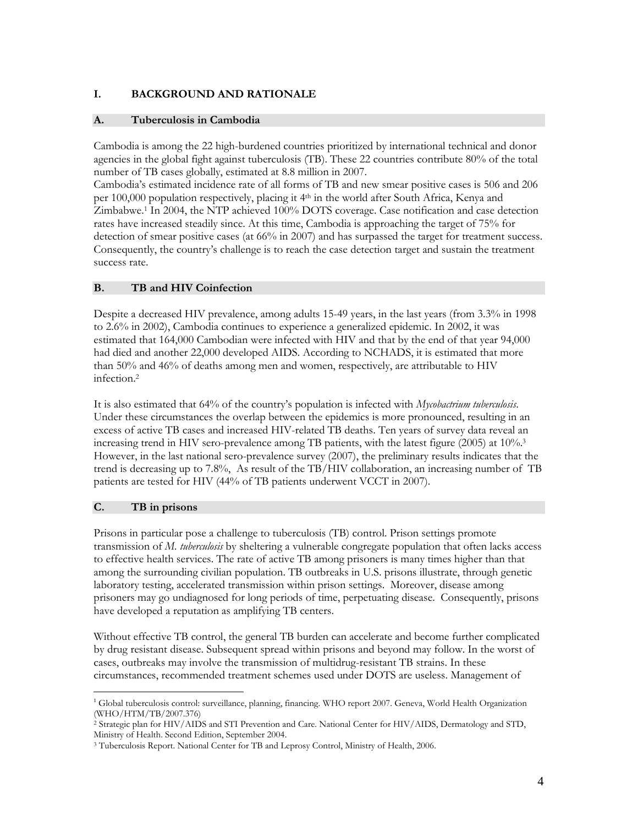### I. BACKGROUND AND RATIONALE

#### A. Tuberculosis in Cambodia

Cambodia is among the 22 high-burdened countries prioritized by international technical and donor agencies in the global fight against tuberculosis (TB). These 22 countries contribute 80% of the total number of TB cases globally, estimated at 8.8 million in 2007.

Cambodia's estimated incidence rate of all forms of TB and new smear positive cases is 506 and 206 per 100,000 population respectively, placing it 4th in the world after South Africa, Kenya and Zimbabwe.<sup>1</sup> In 2004, the NTP achieved 100% DOTS coverage. Case notification and case detection rates have increased steadily since. At this time, Cambodia is approaching the target of 75% for detection of smear positive cases (at 66% in 2007) and has surpassed the target for treatment success. Consequently, the country's challenge is to reach the case detection target and sustain the treatment success rate.

#### B. TB and HIV Coinfection

Despite a decreased HIV prevalence, among adults 15-49 years, in the last years (from 3.3% in 1998 to 2.6% in 2002), Cambodia continues to experience a generalized epidemic. In 2002, it was estimated that 164,000 Cambodian were infected with HIV and that by the end of that year 94,000 had died and another 22,000 developed AIDS. According to NCHADS, it is estimated that more than 50% and 46% of deaths among men and women, respectively, are attributable to HIV infection.<sup>2</sup>

It is also estimated that 64% of the country's population is infected with *Mycobactrium tuberculosis*. Under these circumstances the overlap between the epidemics is more pronounced, resulting in an excess of active TB cases and increased HIV-related TB deaths. Ten years of survey data reveal an increasing trend in HIV sero-prevalence among TB patients, with the latest figure (2005) at 10%.<sup>3</sup> However, in the last national sero-prevalence survey (2007), the preliminary results indicates that the trend is decreasing up to 7.8%, As result of the TB/HIV collaboration, an increasing number of TB patients are tested for HIV (44% of TB patients underwent VCCT in 2007).

### C. TB in prisons

-

Prisons in particular pose a challenge to tuberculosis (TB) control. Prison settings promote transmission of M. tuberculosis by sheltering a vulnerable congregate population that often lacks access to effective health services. The rate of active TB among prisoners is many times higher than that among the surrounding civilian population. TB outbreaks in U.S. prisons illustrate, through genetic laboratory testing, accelerated transmission within prison settings. Moreover, disease among prisoners may go undiagnosed for long periods of time, perpetuating disease. Consequently, prisons have developed a reputation as amplifying TB centers.

Without effective TB control, the general TB burden can accelerate and become further complicated by drug resistant disease. Subsequent spread within prisons and beyond may follow. In the worst of cases, outbreaks may involve the transmission of multidrug-resistant TB strains. In these circumstances, recommended treatment schemes used under DOTS are useless. Management of

<sup>&</sup>lt;sup>1</sup> Global tuberculosis control: surveillance, planning, financing. WHO report 2007. Geneva, World Health Organization (WHO/HTM/TB/2007.376)

<sup>2</sup> Strategic plan for HIV/AIDS and STI Prevention and Care. National Center for HIV/AIDS, Dermatology and STD, Ministry of Health. Second Edition, September 2004.

<sup>3</sup> Tuberculosis Report. National Center for TB and Leprosy Control, Ministry of Health, 2006.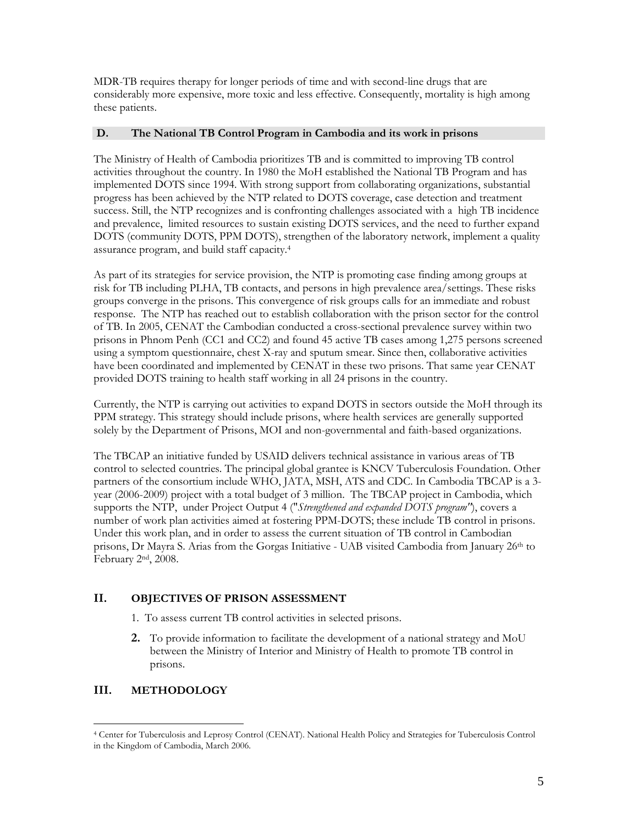MDR-TB requires therapy for longer periods of time and with second-line drugs that are considerably more expensive, more toxic and less effective. Consequently, mortality is high among these patients.

#### D. The National TB Control Program in Cambodia and its work in prisons

The Ministry of Health of Cambodia prioritizes TB and is committed to improving TB control activities throughout the country. In 1980 the MoH established the National TB Program and has implemented DOTS since 1994. With strong support from collaborating organizations, substantial progress has been achieved by the NTP related to DOTS coverage, case detection and treatment success. Still, the NTP recognizes and is confronting challenges associated with a high TB incidence and prevalence, limited resources to sustain existing DOTS services, and the need to further expand DOTS (community DOTS, PPM DOTS), strengthen of the laboratory network, implement a quality assurance program, and build staff capacity.<sup>4</sup>

As part of its strategies for service provision, the NTP is promoting case finding among groups at risk for TB including PLHA, TB contacts, and persons in high prevalence area/settings. These risks groups converge in the prisons. This convergence of risk groups calls for an immediate and robust response. The NTP has reached out to establish collaboration with the prison sector for the control of TB. In 2005, CENAT the Cambodian conducted a cross-sectional prevalence survey within two prisons in Phnom Penh (CC1 and CC2) and found 45 active TB cases among 1,275 persons screened using a symptom questionnaire, chest X-ray and sputum smear. Since then, collaborative activities have been coordinated and implemented by CENAT in these two prisons. That same year CENAT provided DOTS training to health staff working in all 24 prisons in the country.

Currently, the NTP is carrying out activities to expand DOTS in sectors outside the MoH through its PPM strategy. This strategy should include prisons, where health services are generally supported solely by the Department of Prisons, MOI and non-governmental and faith-based organizations.

The TBCAP an initiative funded by USAID delivers technical assistance in various areas of TB control to selected countries. The principal global grantee is KNCV Tuberculosis Foundation. Other partners of the consortium include WHO, JATA, MSH, ATS and CDC. In Cambodia TBCAP is a 3 year (2006-2009) project with a total budget of 3 million. The TBCAP project in Cambodia, which supports the NTP, under Project Output 4 ("Strengthened and expanded DOTS program"), covers a number of work plan activities aimed at fostering PPM-DOTS; these include TB control in prisons. Under this work plan, and in order to assess the current situation of TB control in Cambodian prisons, Dr Mayra S. Arias from the Gorgas Initiative - UAB visited Cambodia from January 26th to February 2nd, 2008.

### II. OBJECTIVES OF PRISON ASSESSMENT

- 1. To assess current TB control activities in selected prisons.
- 2. To provide information to facilitate the development of a national strategy and MoU between the Ministry of Interior and Ministry of Health to promote TB control in prisons.

### III. METHODOLOGY

<sup>-</sup><sup>4</sup> Center for Tuberculosis and Leprosy Control (CENAT). National Health Policy and Strategies for Tuberculosis Control in the Kingdom of Cambodia, March 2006.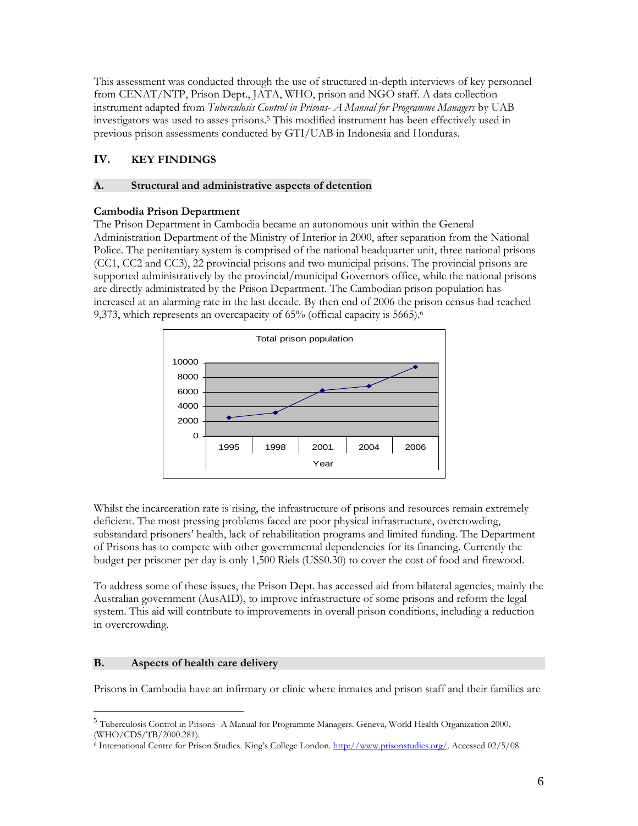This assessment was conducted through the use of structured in-depth interviews of key personnel from CENAT/NTP, Prison Dept., JATA, WHO, prison and NGO staff. A data collection instrument adapted from Tuberculosis Control in Prisons- A Manual for Programme Managers by UAB investigators was used to asses prisons.<sup>5</sup> This modified instrument has been effectively used in previous prison assessments conducted by GTI/UAB in Indonesia and Honduras.

# IV. KEY FINDINGS

### A. Structural and administrative aspects of detention

### Cambodia Prison Department

The Prison Department in Cambodia became an autonomous unit within the General Administration Department of the Ministry of Interior in 2000, after separation from the National Police. The penitentiary system is comprised of the national headquarter unit, three national prisons (CC1, CC2 and CC3), 22 provincial prisons and two municipal prisons. The provincial prisons are supported administratively by the provincial/municipal Governors office, while the national prisons are directly administrated by the Prison Department. The Cambodian prison population has increased at an alarming rate in the last decade. By then end of 2006 the prison census had reached 9,373, which represents an overcapacity of 65% (official capacity is 5665).<sup>6</sup>



Whilst the incarceration rate is rising, the infrastructure of prisons and resources remain extremely deficient. The most pressing problems faced are poor physical infrastructure, overcrowding, substandard prisoners' health, lack of rehabilitation programs and limited funding. The Department of Prisons has to compete with other governmental dependencies for its financing. Currently the budget per prisoner per day is only 1,500 Riels (US\$0.30) to cover the cost of food and firewood.

To address some of these issues, the Prison Dept. has accessed aid from bilateral agencies, mainly the Australian government (AusAID), to improve infrastructure of some prisons and reform the legal system. This aid will contribute to improvements in overall prison conditions, including a reduction in overcrowding.

#### B. Aspects of health care delivery

<u>.</u>

Prisons in Cambodia have an infirmary or clinic where inmates and prison staff and their families are

<sup>5</sup> Tuberculosis Control in Prisons- A Manual for Programme Managers. Geneva, World Health Organization 2000. (WHO/CDS/TB/2000.281).

<sup>&</sup>lt;sup>6</sup> International Centre for Prison Studies. King's College London. http://www.prisonstudies.org/. Accessed 02/5/08.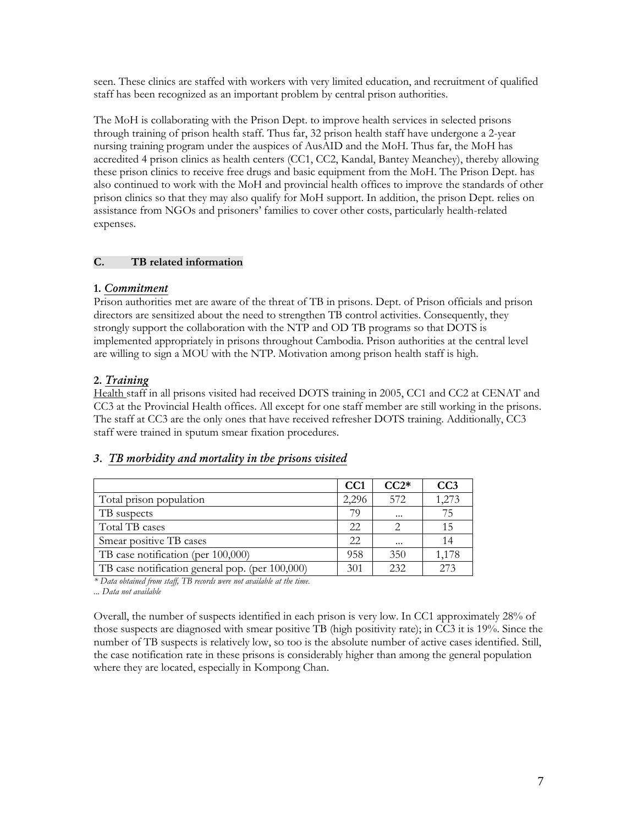seen. These clinics are staffed with workers with very limited education, and recruitment of qualified staff has been recognized as an important problem by central prison authorities.

The MoH is collaborating with the Prison Dept. to improve health services in selected prisons through training of prison health staff. Thus far, 32 prison health staff have undergone a 2-year nursing training program under the auspices of AusAID and the MoH. Thus far, the MoH has accredited 4 prison clinics as health centers (CC1, CC2, Kandal, Bantey Meanchey), thereby allowing these prison clinics to receive free drugs and basic equipment from the MoH. The Prison Dept. has also continued to work with the MoH and provincial health offices to improve the standards of other prison clinics so that they may also qualify for MoH support. In addition, the prison Dept. relies on assistance from NGOs and prisoners' families to cover other costs, particularly health-related expenses.

#### C. TB related information

### 1. Commitment

Prison authorities met are aware of the threat of TB in prisons. Dept. of Prison officials and prison directors are sensitized about the need to strengthen TB control activities. Consequently, they strongly support the collaboration with the NTP and OD TB programs so that DOTS is implemented appropriately in prisons throughout Cambodia. Prison authorities at the central level are willing to sign a MOU with the NTP. Motivation among prison health staff is high.

### 2. Training

Health staff in all prisons visited had received DOTS training in 2005, CC1 and CC2 at CENAT and CC3 at the Provincial Health offices. All except for one staff member are still working in the prisons. The staff at CC3 are the only ones that have received refresher DOTS training. Additionally, CC3 staff were trained in sputum smear fixation procedures.

### 3. TB morbidity and mortality in the prisons visited

|                                                 | CC <sub>1</sub> | $CC2*$   | CC3   |
|-------------------------------------------------|-----------------|----------|-------|
| Total prison population                         | 2,296           | 572      | 1,273 |
| TB suspects                                     | 79              | $\cdots$ | 75    |
| Total TB cases                                  | 22              |          | 15    |
| Smear positive TB cases                         | 22              | $\cdots$ | 14    |
| TB case notification (per 100,000)              | 958             | 350      | 1,178 |
| TB case notification general pop. (per 100,000) | 301             | 232      | 273   |

\* Data obtained from staff, TB records were not available at the time.

... Data not available

Overall, the number of suspects identified in each prison is very low. In CC1 approximately 28% of those suspects are diagnosed with smear positive TB (high positivity rate); in CC3 it is 19%. Since the number of TB suspects is relatively low, so too is the absolute number of active cases identified. Still, the case notification rate in these prisons is considerably higher than among the general population where they are located, especially in Kompong Chan.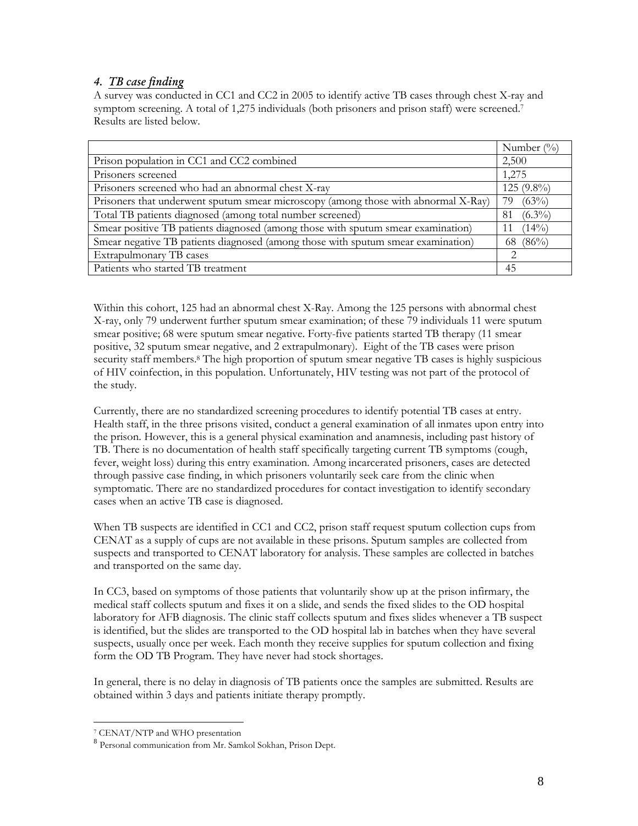### 4. TB case finding

A survey was conducted in CC1 and CC2 in 2005 to identify active TB cases through chest X-ray and symptom screening. A total of 1,275 individuals (both prisoners and prison staff) were screened.<sup>7</sup> Results are listed below.

|                                                                                    | Number $(\%)$    |
|------------------------------------------------------------------------------------|------------------|
| Prison population in CC1 and CC2 combined                                          | 2,500            |
| Prisoners screened                                                                 | 1,275            |
| Prisoners screened who had an abnormal chest X-ray                                 | $125(9.8\%)$     |
| Prisoners that underwent sputum smear microscopy (among those with abnormal X-Ray) | (63%)<br>79      |
| Total TB patients diagnosed (among total number screened)                          | $(6.3\%)$<br>-81 |
| Smear positive TB patients diagnosed (among those with sputum smear examination)   | (14%)            |
| Smear negative TB patients diagnosed (among those with sputum smear examination)   | 68 (86%)         |
| Extrapulmonary TB cases                                                            | $\mathcal{D}$    |
| Patients who started TB treatment                                                  | 45               |

Within this cohort, 125 had an abnormal chest X-Ray. Among the 125 persons with abnormal chest X-ray, only 79 underwent further sputum smear examination; of these 79 individuals 11 were sputum smear positive; 68 were sputum smear negative. Forty-five patients started TB therapy (11 smear positive, 32 sputum smear negative, and 2 extrapulmonary). Eight of the TB cases were prison security staff members.<sup>8</sup> The high proportion of sputum smear negative TB cases is highly suspicious of HIV coinfection, in this population. Unfortunately, HIV testing was not part of the protocol of the study.

Currently, there are no standardized screening procedures to identify potential TB cases at entry. Health staff, in the three prisons visited, conduct a general examination of all inmates upon entry into the prison. However, this is a general physical examination and anamnesis, including past history of TB. There is no documentation of health staff specifically targeting current TB symptoms (cough, fever, weight loss) during this entry examination. Among incarcerated prisoners, cases are detected through passive case finding, in which prisoners voluntarily seek care from the clinic when symptomatic. There are no standardized procedures for contact investigation to identify secondary cases when an active TB case is diagnosed.

When TB suspects are identified in CC1 and CC2, prison staff request sputum collection cups from CENAT as a supply of cups are not available in these prisons. Sputum samples are collected from suspects and transported to CENAT laboratory for analysis. These samples are collected in batches and transported on the same day.

In CC3, based on symptoms of those patients that voluntarily show up at the prison infirmary, the medical staff collects sputum and fixes it on a slide, and sends the fixed slides to the OD hospital laboratory for AFB diagnosis. The clinic staff collects sputum and fixes slides whenever a TB suspect is identified, but the slides are transported to the OD hospital lab in batches when they have several suspects, usually once per week. Each month they receive supplies for sputum collection and fixing form the OD TB Program. They have never had stock shortages.

In general, there is no delay in diagnosis of TB patients once the samples are submitted. Results are obtained within 3 days and patients initiate therapy promptly.

<u>.</u>

<sup>7</sup> CENAT/NTP and WHO presentation

<sup>8</sup> Personal communication from Mr. Samkol Sokhan, Prison Dept.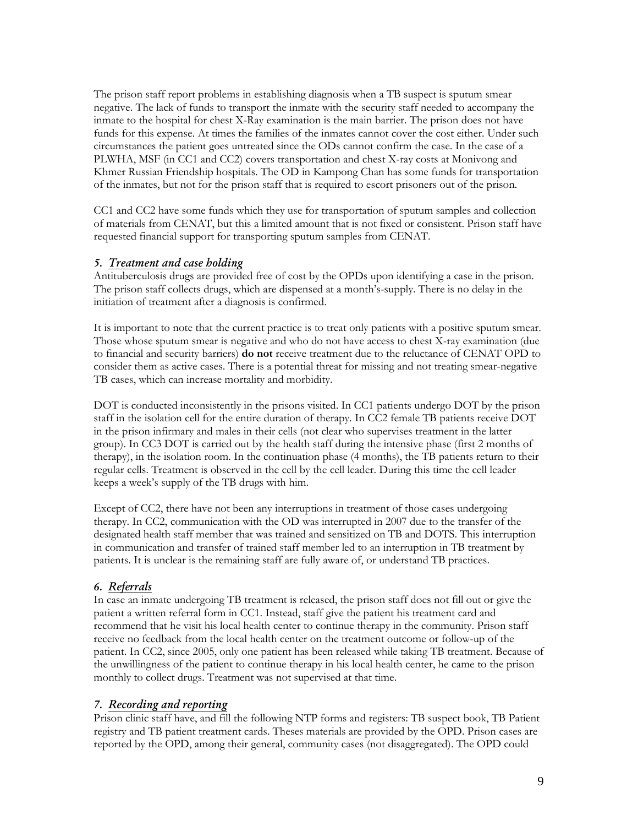The prison staff report problems in establishing diagnosis when a TB suspect is sputum smear negative. The lack of funds to transport the inmate with the security staff needed to accompany the inmate to the hospital for chest X-Ray examination is the main barrier. The prison does not have funds for this expense. At times the families of the inmates cannot cover the cost either. Under such circumstances the patient goes untreated since the ODs cannot confirm the case. In the case of a PLWHA, MSF (in CC1 and CC2) covers transportation and chest X-ray costs at Monivong and Khmer Russian Friendship hospitals. The OD in Kampong Chan has some funds for transportation of the inmates, but not for the prison staff that is required to escort prisoners out of the prison.

CC1 and CC2 have some funds which they use for transportation of sputum samples and collection of materials from CENAT, but this a limited amount that is not fixed or consistent. Prison staff have requested financial support for transporting sputum samples from CENAT.

#### 5. Treatment and case holding

Antituberculosis drugs are provided free of cost by the OPDs upon identifying a case in the prison. The prison staff collects drugs, which are dispensed at a month's-supply. There is no delay in the initiation of treatment after a diagnosis is confirmed.

It is important to note that the current practice is to treat only patients with a positive sputum smear. Those whose sputum smear is negative and who do not have access to chest X-ray examination (due to financial and security barriers) **do not** receive treatment due to the reluctance of CENAT OPD to consider them as active cases. There is a potential threat for missing and not treating smear-negative TB cases, which can increase mortality and morbidity.

DOT is conducted inconsistently in the prisons visited. In CC1 patients undergo DOT by the prison staff in the isolation cell for the entire duration of therapy. In CC2 female TB patients receive DOT in the prison infirmary and males in their cells (not clear who supervises treatment in the latter group). In CC3 DOT is carried out by the health staff during the intensive phase (first 2 months of therapy), in the isolation room. In the continuation phase (4 months), the TB patients return to their regular cells. Treatment is observed in the cell by the cell leader. During this time the cell leader keeps a week's supply of the TB drugs with him.

Except of CC2, there have not been any interruptions in treatment of those cases undergoing therapy. In CC2, communication with the OD was interrupted in 2007 due to the transfer of the designated health staff member that was trained and sensitized on TB and DOTS. This interruption in communication and transfer of trained staff member led to an interruption in TB treatment by patients. It is unclear is the remaining staff are fully aware of, or understand TB practices.

### 6. Referrals

In case an inmate undergoing TB treatment is released, the prison staff does not fill out or give the patient a written referral form in CC1. Instead, staff give the patient his treatment card and recommend that he visit his local health center to continue therapy in the community. Prison staff receive no feedback from the local health center on the treatment outcome or follow-up of the patient. In CC2, since 2005, only one patient has been released while taking TB treatment. Because of the unwillingness of the patient to continue therapy in his local health center, he came to the prison monthly to collect drugs. Treatment was not supervised at that time.

#### 7. Recording and reporting

Prison clinic staff have, and fill the following NTP forms and registers: TB suspect book, TB Patient registry and TB patient treatment cards. Theses materials are provided by the OPD. Prison cases are reported by the OPD, among their general, community cases (not disaggregated). The OPD could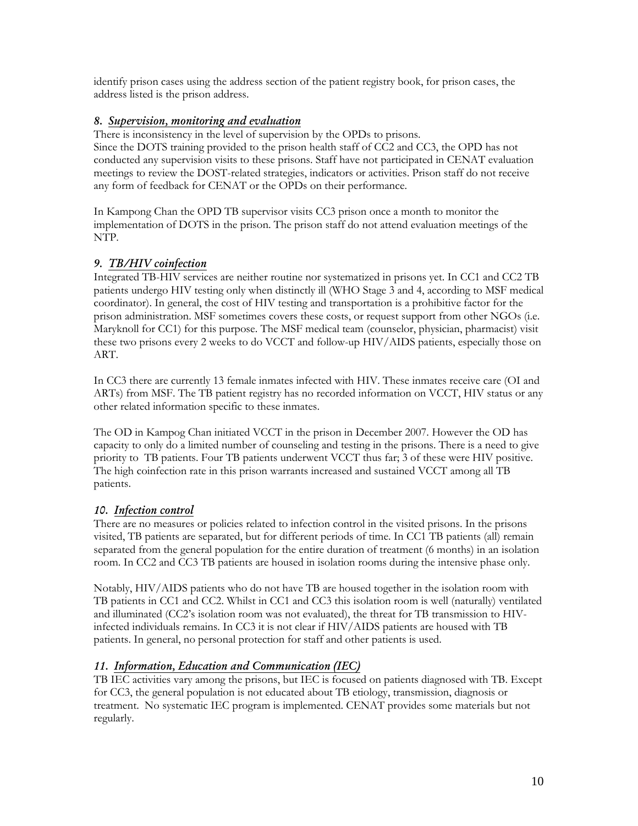identify prison cases using the address section of the patient registry book, for prison cases, the address listed is the prison address.

### 8. Supervision, monitoring and evaluation

There is inconsistency in the level of supervision by the OPDs to prisons. Since the DOTS training provided to the prison health staff of CC2 and CC3, the OPD has not conducted any supervision visits to these prisons. Staff have not participated in CENAT evaluation meetings to review the DOST-related strategies, indicators or activities. Prison staff do not receive any form of feedback for CENAT or the OPDs on their performance.

In Kampong Chan the OPD TB supervisor visits CC3 prison once a month to monitor the implementation of DOTS in the prison. The prison staff do not attend evaluation meetings of the NTP.

### 9. TB/HIV coinfection

Integrated TB-HIV services are neither routine nor systematized in prisons yet. In CC1 and CC2 TB patients undergo HIV testing only when distinctly ill (WHO Stage 3 and 4, according to MSF medical coordinator). In general, the cost of HIV testing and transportation is a prohibitive factor for the prison administration. MSF sometimes covers these costs, or request support from other NGOs (i.e. Maryknoll for CC1) for this purpose. The MSF medical team (counselor, physician, pharmacist) visit these two prisons every 2 weeks to do VCCT and follow-up HIV/AIDS patients, especially those on ART.

In CC3 there are currently 13 female inmates infected with HIV. These inmates receive care (OI and ARTs) from MSF. The TB patient registry has no recorded information on VCCT, HIV status or any other related information specific to these inmates.

The OD in Kampog Chan initiated VCCT in the prison in December 2007. However the OD has capacity to only do a limited number of counseling and testing in the prisons. There is a need to give priority to TB patients. Four TB patients underwent VCCT thus far; 3 of these were HIV positive. The high coinfection rate in this prison warrants increased and sustained VCCT among all TB patients.

# 10. Infection control

There are no measures or policies related to infection control in the visited prisons. In the prisons visited, TB patients are separated, but for different periods of time. In CC1 TB patients (all) remain separated from the general population for the entire duration of treatment (6 months) in an isolation room. In CC2 and CC3 TB patients are housed in isolation rooms during the intensive phase only.

Notably, HIV/AIDS patients who do not have TB are housed together in the isolation room with TB patients in CC1 and CC2. Whilst in CC1 and CC3 this isolation room is well (naturally) ventilated and illuminated (CC2's isolation room was not evaluated), the threat for TB transmission to HIVinfected individuals remains. In CC3 it is not clear if HIV/AIDS patients are housed with TB patients. In general, no personal protection for staff and other patients is used.

# 11. Information, Education and Communication (IEC)

TB IEC activities vary among the prisons, but IEC is focused on patients diagnosed with TB. Except for CC3, the general population is not educated about TB etiology, transmission, diagnosis or treatment. No systematic IEC program is implemented. CENAT provides some materials but not regularly.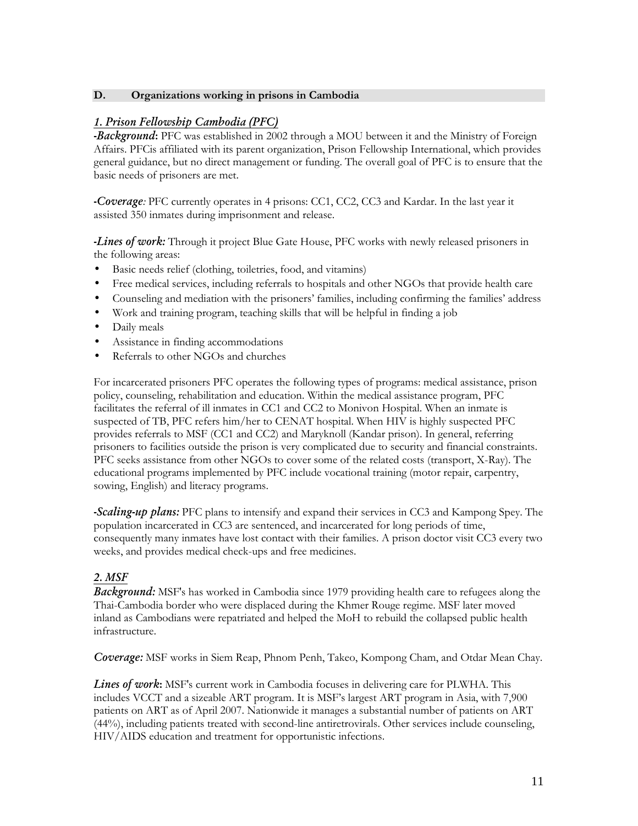#### D. Organizations working in prisons in Cambodia

### 1. Prison Fellowship Cambodia (PFC)

**-Background:** PFC was established in 2002 through a MOU between it and the Ministry of Foreign Affairs. PFCis affiliated with its parent organization, Prison Fellowship International, which provides general guidance, but no direct management or funding. The overall goal of PFC is to ensure that the basic needs of prisoners are met.

-Coverage: PFC currently operates in 4 prisons: CC1, CC2, CC3 and Kardar. In the last year it assisted 350 inmates during imprisonment and release.

-Lines of work: Through it project Blue Gate House, PFC works with newly released prisoners in the following areas:

- Basic needs relief (clothing, toiletries, food, and vitamins)
- Free medical services, including referrals to hospitals and other NGOs that provide health care
- Counseling and mediation with the prisoners' families, including confirming the families' address
- Work and training program, teaching skills that will be helpful in finding a job
- Daily meals
- Assistance in finding accommodations
- Referrals to other NGOs and churches

For incarcerated prisoners PFC operates the following types of programs: medical assistance, prison policy, counseling, rehabilitation and education. Within the medical assistance program, PFC facilitates the referral of ill inmates in CC1 and CC2 to Monivon Hospital. When an inmate is suspected of TB, PFC refers him/her to CENAT hospital. When HIV is highly suspected PFC provides referrals to MSF (CC1 and CC2) and Maryknoll (Kandar prison). In general, referring prisoners to facilities outside the prison is very complicated due to security and financial constraints. PFC seeks assistance from other NGOs to cover some of the related costs (transport, X-Ray). The educational programs implemented by PFC include vocational training (motor repair, carpentry, sowing, English) and literacy programs.

**-Scaling-up plans:** PFC plans to intensify and expand their services in CC3 and Kampong Spey. The population incarcerated in CC3 are sentenced, and incarcerated for long periods of time, consequently many inmates have lost contact with their families. A prison doctor visit CC3 every two weeks, and provides medical check-ups and free medicines.

#### 2. MSF

Background: MSF's has worked in Cambodia since 1979 providing health care to refugees along the Thai-Cambodia border who were displaced during the Khmer Rouge regime. MSF later moved inland as Cambodians were repatriated and helped the MoH to rebuild the collapsed public health infrastructure.

**Coverage:** MSF works in Siem Reap, Phnom Penh, Takeo, Kompong Cham, and Otdar Mean Chay.

**Lines of work:** MSF's current work in Cambodia focuses in delivering care for PLWHA. This includes VCCT and a sizeable ART program. It is MSF's largest ART program in Asia, with 7,900 patients on ART as of April 2007. Nationwide it manages a substantial number of patients on ART (44%), including patients treated with second-line antiretrovirals. Other services include counseling, HIV/AIDS education and treatment for opportunistic infections.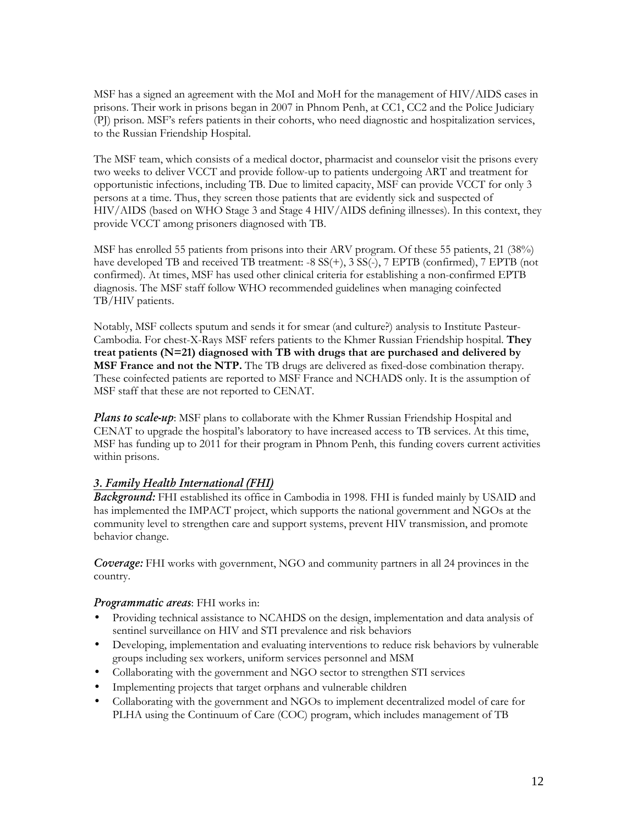MSF has a signed an agreement with the MoI and MoH for the management of HIV/AIDS cases in prisons. Their work in prisons began in 2007 in Phnom Penh, at CC1, CC2 and the Police Judiciary (PJ) prison. MSF's refers patients in their cohorts, who need diagnostic and hospitalization services, to the Russian Friendship Hospital.

The MSF team, which consists of a medical doctor, pharmacist and counselor visit the prisons every two weeks to deliver VCCT and provide follow-up to patients undergoing ART and treatment for opportunistic infections, including TB. Due to limited capacity, MSF can provide VCCT for only 3 persons at a time. Thus, they screen those patients that are evidently sick and suspected of HIV/AIDS (based on WHO Stage 3 and Stage 4 HIV/AIDS defining illnesses). In this context, they provide VCCT among prisoners diagnosed with TB.

MSF has enrolled 55 patients from prisons into their ARV program. Of these 55 patients, 21 (38%) have developed TB and received TB treatment: -8  $SS(+)$ , 3  $SS(-)$ , 7 EPTB (confirmed), 7 EPTB (not confirmed). At times, MSF has used other clinical criteria for establishing a non-confirmed EPTB diagnosis. The MSF staff follow WHO recommended guidelines when managing coinfected TB/HIV patients.

Notably, MSF collects sputum and sends it for smear (and culture?) analysis to Institute Pasteur-Cambodia. For chest-X-Rays MSF refers patients to the Khmer Russian Friendship hospital. They treat patients ( $N=21$ ) diagnosed with TB with drugs that are purchased and delivered by **MSF France and not the NTP.** The TB drugs are delivered as fixed-dose combination therapy. These coinfected patients are reported to MSF France and NCHADS only. It is the assumption of MSF staff that these are not reported to CENAT.

Plans to scale-up: MSF plans to collaborate with the Khmer Russian Friendship Hospital and CENAT to upgrade the hospital's laboratory to have increased access to TB services. At this time, MSF has funding up to 2011 for their program in Phnom Penh, this funding covers current activities within prisons.

### 3. Family Health International (FHI)

Background: FHI established its office in Cambodia in 1998. FHI is funded mainly by USAID and has implemented the IMPACT project, which supports the national government and NGOs at the community level to strengthen care and support systems, prevent HIV transmission, and promote behavior change.

Coverage: FHI works with government, NGO and community partners in all 24 provinces in the country.

#### Programmatic areas: FHI works in:

- Providing technical assistance to NCAHDS on the design, implementation and data analysis of sentinel surveillance on HIV and STI prevalence and risk behaviors
- Developing, implementation and evaluating interventions to reduce risk behaviors by vulnerable groups including sex workers, uniform services personnel and MSM
- Collaborating with the government and NGO sector to strengthen STI services
- Implementing projects that target orphans and vulnerable children
- Collaborating with the government and NGOs to implement decentralized model of care for PLHA using the Continuum of Care (COC) program, which includes management of TB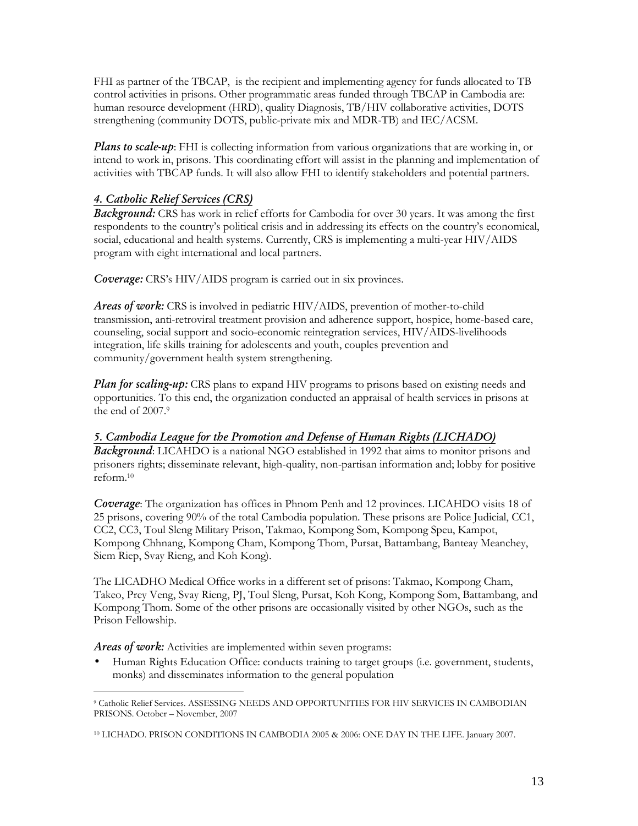FHI as partner of the TBCAP, is the recipient and implementing agency for funds allocated to TB control activities in prisons. Other programmatic areas funded through TBCAP in Cambodia are: human resource development (HRD), quality Diagnosis, TB/HIV collaborative activities, DOTS strengthening (community DOTS, public-private mix and MDR-TB) and IEC/ACSM.

**Plans to scale-up**: FHI is collecting information from various organizations that are working in, or intend to work in, prisons. This coordinating effort will assist in the planning and implementation of activities with TBCAP funds. It will also allow FHI to identify stakeholders and potential partners.

### 4. Catholic Relief Services (CRS)

Background: CRS has work in relief efforts for Cambodia for over 30 years. It was among the first respondents to the country's political crisis and in addressing its effects on the country's economical, social, educational and health systems. Currently, CRS is implementing a multi-year HIV/AIDS program with eight international and local partners.

Coverage: CRS's HIV/AIDS program is carried out in six provinces.

Areas of work: CRS is involved in pediatric HIV/AIDS, prevention of mother-to-child transmission, anti-retroviral treatment provision and adherence support, hospice, home-based care, counseling, social support and socio-economic reintegration services, HIV/AIDS-livelihoods integration, life skills training for adolescents and youth, couples prevention and community/government health system strengthening.

Plan for scaling-up: CRS plans to expand HIV programs to prisons based on existing needs and opportunities. To this end, the organization conducted an appraisal of health services in prisons at the end of 2007.<sup>9</sup>

### 5. Cambodia League for the Promotion and Defense of Human Rights (LICHADO)

**Background:** LICAHDO is a national NGO established in 1992 that aims to monitor prisons and prisoners rights; disseminate relevant, high-quality, non-partisan information and; lobby for positive reform.<sup>10</sup>

Coverage: The organization has offices in Phnom Penh and 12 provinces. LICAHDO visits 18 of 25 prisons, covering 90% of the total Cambodia population. These prisons are Police Judicial, CC1, CC2, CC3, Toul Sleng Military Prison, Takmao, Kompong Som, Kompong Speu, Kampot, Kompong Chhnang, Kompong Cham, Kompong Thom, Pursat, Battambang, Banteay Meanchey, Siem Riep, Svay Rieng, and Koh Kong).

The LICADHO Medical Office works in a different set of prisons: Takmao, Kompong Cham, Takeo, Prey Veng, Svay Rieng, PJ, Toul Sleng, Pursat, Koh Kong, Kompong Som, Battambang, and Kompong Thom. Some of the other prisons are occasionally visited by other NGOs, such as the Prison Fellowship.

Areas of work: Activities are implemented within seven programs:

• Human Rights Education Office: conducts training to target groups (i.e. government, students, monks) and disseminates information to the general population

 9 Catholic Relief Services. ASSESSING NEEDS AND OPPORTUNITIES FOR HIV SERVICES IN CAMBODIAN PRISONS. October – November, 2007

<sup>10</sup> LICHADO. PRISON CONDITIONS IN CAMBODIA 2005 & 2006: ONE DAY IN THE LIFE. January 2007.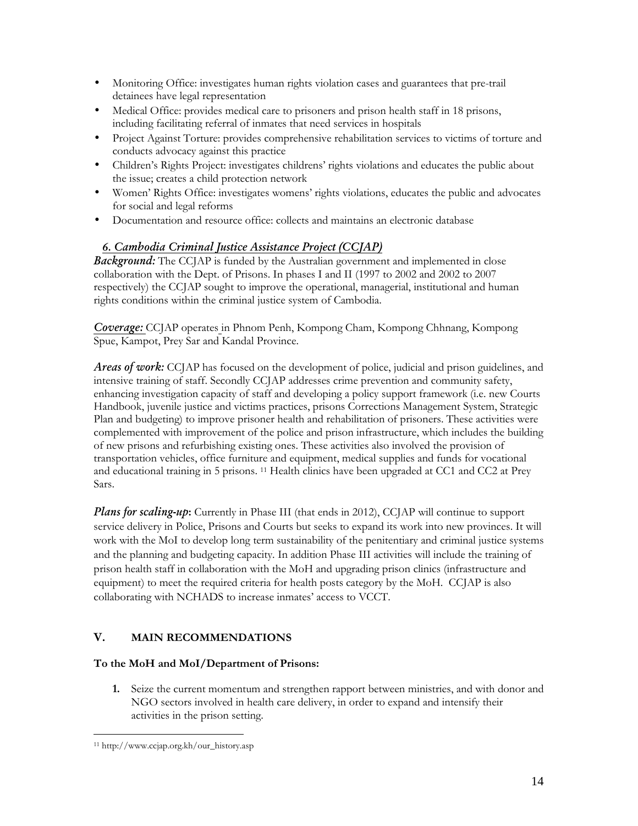- Monitoring Office: investigates human rights violation cases and guarantees that pre-trail detainees have legal representation
- Medical Office: provides medical care to prisoners and prison health staff in 18 prisons, including facilitating referral of inmates that need services in hospitals
- Project Against Torture: provides comprehensive rehabilitation services to victims of torture and conducts advocacy against this practice
- Children's Rights Project: investigates childrens' rights violations and educates the public about the issue; creates a child protection network
- Women' Rights Office: investigates womens' rights violations, educates the public and advocates for social and legal reforms
- Documentation and resource office: collects and maintains an electronic database

### 6. Cambodia Criminal Justice Assistance Project (CCJAP)

**Background:** The CCJAP is funded by the Australian government and implemented in close collaboration with the Dept. of Prisons. In phases I and II (1997 to 2002 and 2002 to 2007 respectively) the CCJAP sought to improve the operational, managerial, institutional and human rights conditions within the criminal justice system of Cambodia.

Coverage: CCJAP operates in Phnom Penh, Kompong Cham, Kompong Chhnang, Kompong Spue, Kampot, Prey Sar and Kandal Province.

**Areas of work:** CCJAP has focused on the development of police, judicial and prison guidelines, and intensive training of staff. Secondly CCJAP addresses crime prevention and community safety, enhancing investigation capacity of staff and developing a policy support framework (i.e. new Courts Handbook, juvenile justice and victims practices, prisons Corrections Management System, Strategic Plan and budgeting) to improve prisoner health and rehabilitation of prisoners. These activities were complemented with improvement of the police and prison infrastructure, which includes the building of new prisons and refurbishing existing ones. These activities also involved the provision of transportation vehicles, office furniture and equipment, medical supplies and funds for vocational and educational training in 5 prisons. 11 Health clinics have been upgraded at CC1 and CC2 at Prey Sars.

Plans for scaling-up: Currently in Phase III (that ends in 2012), CCJAP will continue to support service delivery in Police, Prisons and Courts but seeks to expand its work into new provinces. It will work with the MoI to develop long term sustainability of the penitentiary and criminal justice systems and the planning and budgeting capacity. In addition Phase III activities will include the training of prison health staff in collaboration with the MoH and upgrading prison clinics (infrastructure and equipment) to meet the required criteria for health posts category by the MoH. CCJAP is also collaborating with NCHADS to increase inmates' access to VCCT.

# V. MAIN RECOMMENDATIONS

#### To the MoH and MoI/Department of Prisons:

1. Seize the current momentum and strengthen rapport between ministries, and with donor and NGO sectors involved in health care delivery, in order to expand and intensify their activities in the prison setting.

<u>.</u>

<sup>11</sup> http://www.ccjap.org.kh/our\_history.asp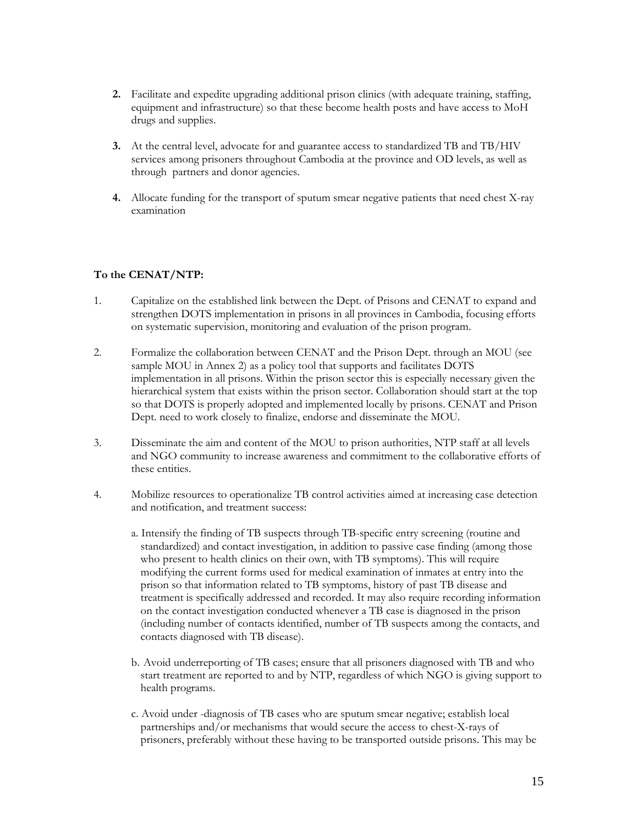- 2. Facilitate and expedite upgrading additional prison clinics (with adequate training, staffing, equipment and infrastructure) so that these become health posts and have access to MoH drugs and supplies.
- 3. At the central level, advocate for and guarantee access to standardized TB and TB/HIV services among prisoners throughout Cambodia at the province and OD levels, as well as through partners and donor agencies.
- 4. Allocate funding for the transport of sputum smear negative patients that need chest X-ray examination

### To the CENAT/NTP:

- 1. Capitalize on the established link between the Dept. of Prisons and CENAT to expand and strengthen DOTS implementation in prisons in all provinces in Cambodia, focusing efforts on systematic supervision, monitoring and evaluation of the prison program.
- 2. Formalize the collaboration between CENAT and the Prison Dept. through an MOU (see sample MOU in Annex 2) as a policy tool that supports and facilitates DOTS implementation in all prisons. Within the prison sector this is especially necessary given the hierarchical system that exists within the prison sector. Collaboration should start at the top so that DOTS is properly adopted and implemented locally by prisons. CENAT and Prison Dept. need to work closely to finalize, endorse and disseminate the MOU.
- 3. Disseminate the aim and content of the MOU to prison authorities, NTP staff at all levels and NGO community to increase awareness and commitment to the collaborative efforts of these entities.
- 4. Mobilize resources to operationalize TB control activities aimed at increasing case detection and notification, and treatment success:
	- a. Intensify the finding of TB suspects through TB-specific entry screening (routine and standardized) and contact investigation, in addition to passive case finding (among those who present to health clinics on their own, with TB symptoms). This will require modifying the current forms used for medical examination of inmates at entry into the prison so that information related to TB symptoms, history of past TB disease and treatment is specifically addressed and recorded. It may also require recording information on the contact investigation conducted whenever a TB case is diagnosed in the prison (including number of contacts identified, number of TB suspects among the contacts, and contacts diagnosed with TB disease).
	- b. Avoid underreporting of TB cases; ensure that all prisoners diagnosed with TB and who start treatment are reported to and by NTP, regardless of which NGO is giving support to health programs.
	- c. Avoid under -diagnosis of TB cases who are sputum smear negative; establish local partnerships and/or mechanisms that would secure the access to chest-X-rays of prisoners, preferably without these having to be transported outside prisons. This may be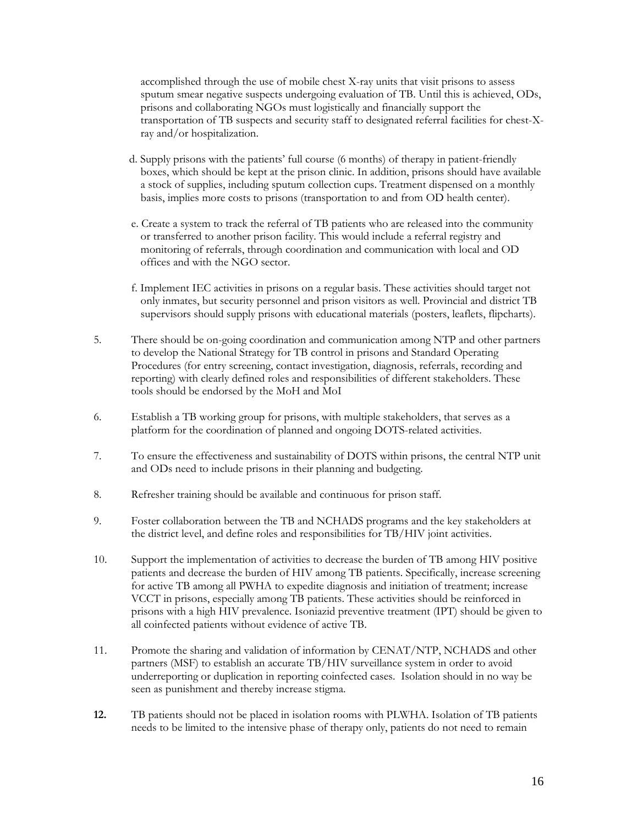accomplished through the use of mobile chest X-ray units that visit prisons to assess sputum smear negative suspects undergoing evaluation of TB. Until this is achieved, ODs, prisons and collaborating NGOs must logistically and financially support the transportation of TB suspects and security staff to designated referral facilities for chest-Xray and/or hospitalization.

- d. Supply prisons with the patients' full course (6 months) of therapy in patient-friendly boxes, which should be kept at the prison clinic. In addition, prisons should have available a stock of supplies, including sputum collection cups. Treatment dispensed on a monthly basis, implies more costs to prisons (transportation to and from OD health center).
- e. Create a system to track the referral of TB patients who are released into the community or transferred to another prison facility. This would include a referral registry and monitoring of referrals, through coordination and communication with local and OD offices and with the NGO sector.
- f. Implement IEC activities in prisons on a regular basis. These activities should target not only inmates, but security personnel and prison visitors as well. Provincial and district TB supervisors should supply prisons with educational materials (posters, leaflets, flipcharts).
- 5. There should be on-going coordination and communication among NTP and other partners to develop the National Strategy for TB control in prisons and Standard Operating Procedures (for entry screening, contact investigation, diagnosis, referrals, recording and reporting) with clearly defined roles and responsibilities of different stakeholders. These tools should be endorsed by the MoH and MoI
- 6. Establish a TB working group for prisons, with multiple stakeholders, that serves as a platform for the coordination of planned and ongoing DOTS-related activities.
- 7. To ensure the effectiveness and sustainability of DOTS within prisons, the central NTP unit and ODs need to include prisons in their planning and budgeting.
- 8. Refresher training should be available and continuous for prison staff.
- 9. Foster collaboration between the TB and NCHADS programs and the key stakeholders at the district level, and define roles and responsibilities for TB/HIV joint activities.
- 10. Support the implementation of activities to decrease the burden of TB among HIV positive patients and decrease the burden of HIV among TB patients. Specifically, increase screening for active TB among all PWHA to expedite diagnosis and initiation of treatment; increase VCCT in prisons, especially among TB patients. These activities should be reinforced in prisons with a high HIV prevalence. Isoniazid preventive treatment (IPT) should be given to all coinfected patients without evidence of active TB.
- 11. Promote the sharing and validation of information by CENAT/NTP, NCHADS and other partners (MSF) to establish an accurate TB/HIV surveillance system in order to avoid underreporting or duplication in reporting coinfected cases. Isolation should in no way be seen as punishment and thereby increase stigma.
- 12. TB patients should not be placed in isolation rooms with PLWHA. Isolation of TB patients needs to be limited to the intensive phase of therapy only, patients do not need to remain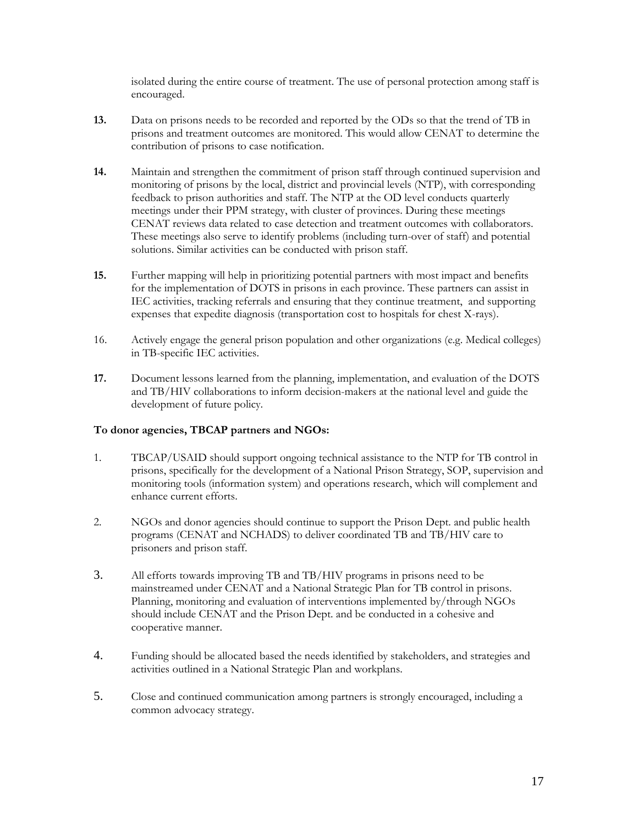isolated during the entire course of treatment. The use of personal protection among staff is encouraged.

- 13. Data on prisons needs to be recorded and reported by the ODs so that the trend of TB in prisons and treatment outcomes are monitored. This would allow CENAT to determine the contribution of prisons to case notification.
- 14. Maintain and strengthen the commitment of prison staff through continued supervision and monitoring of prisons by the local, district and provincial levels (NTP), with corresponding feedback to prison authorities and staff. The NTP at the OD level conducts quarterly meetings under their PPM strategy, with cluster of provinces. During these meetings CENAT reviews data related to case detection and treatment outcomes with collaborators. These meetings also serve to identify problems (including turn-over of staff) and potential solutions. Similar activities can be conducted with prison staff.
- 15. Further mapping will help in prioritizing potential partners with most impact and benefits for the implementation of DOTS in prisons in each province. These partners can assist in IEC activities, tracking referrals and ensuring that they continue treatment, and supporting expenses that expedite diagnosis (transportation cost to hospitals for chest X-rays).
- 16. Actively engage the general prison population and other organizations (e.g. Medical colleges) in TB-specific IEC activities.
- 17. Document lessons learned from the planning, implementation, and evaluation of the DOTS and TB/HIV collaborations to inform decision-makers at the national level and guide the development of future policy.

#### To donor agencies, TBCAP partners and NGOs:

- 1. TBCAP/USAID should support ongoing technical assistance to the NTP for TB control in prisons, specifically for the development of a National Prison Strategy, SOP, supervision and monitoring tools (information system) and operations research, which will complement and enhance current efforts.
- 2. NGOs and donor agencies should continue to support the Prison Dept. and public health programs (CENAT and NCHADS) to deliver coordinated TB and TB/HIV care to prisoners and prison staff.
- 3. All efforts towards improving TB and TB/HIV programs in prisons need to be mainstreamed under CENAT and a National Strategic Plan for TB control in prisons. Planning, monitoring and evaluation of interventions implemented by/through NGOs should include CENAT and the Prison Dept. and be conducted in a cohesive and cooperative manner.
- 4. Funding should be allocated based the needs identified by stakeholders, and strategies and activities outlined in a National Strategic Plan and workplans.
- 5. Close and continued communication among partners is strongly encouraged, including a common advocacy strategy.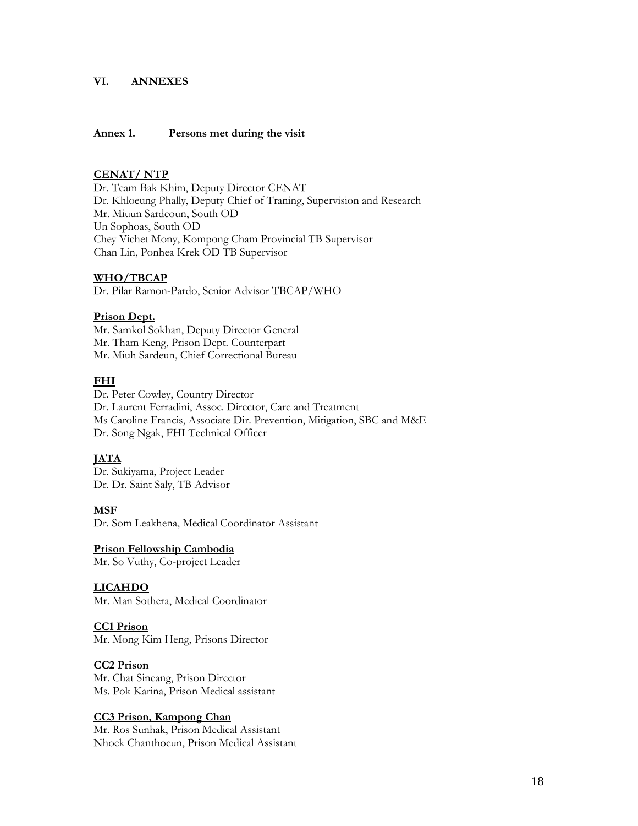#### VI. ANNEXES

#### Annex 1. Persons met during the visit

#### CENAT/ NTP

Dr. Team Bak Khim, Deputy Director CENAT Dr. Khloeung Phally, Deputy Chief of Traning, Supervision and Research Mr. Miuun Sardeoun, South OD Un Sophoas, South OD Chey Vichet Mony, Kompong Cham Provincial TB Supervisor Chan Lin, Ponhea Krek OD TB Supervisor

#### WHO/TBCAP

Dr. Pilar Ramon-Pardo, Senior Advisor TBCAP/WHO

#### Prison Dept.

Mr. Samkol Sokhan, Deputy Director General Mr. Tham Keng, Prison Dept. Counterpart Mr. Miuh Sardeun, Chief Correctional Bureau

#### FHI

Dr. Peter Cowley, Country Director Dr. Laurent Ferradini, Assoc. Director, Care and Treatment Ms Caroline Francis, Associate Dir. Prevention, Mitigation, SBC and M&E Dr. Song Ngak, FHI Technical Officer

#### **JATA**

Dr. Sukiyama, Project Leader Dr. Dr. Saint Saly, TB Advisor

#### MSF

Dr. Som Leakhena, Medical Coordinator Assistant

#### Prison Fellowship Cambodia

Mr. So Vuthy, Co-project Leader

#### LICAHDO

Mr. Man Sothera, Medical Coordinator

### CC1 Prison

Mr. Mong Kim Heng, Prisons Director

### CC2 Prison

Mr. Chat Sineang, Prison Director Ms. Pok Karina, Prison Medical assistant

#### CC3 Prison, Kampong Chan

Mr. Ros Sunhak, Prison Medical Assistant Nhoek Chanthoeun, Prison Medical Assistant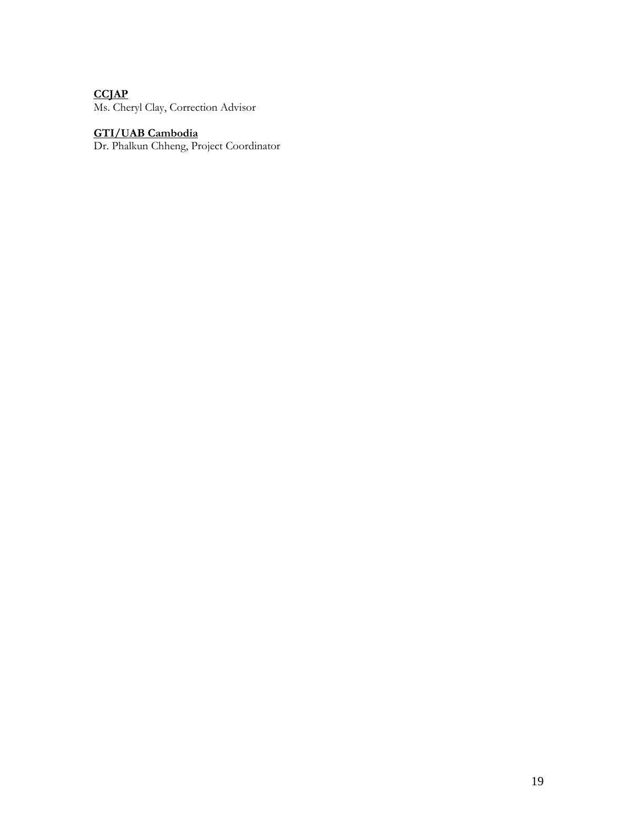# **CCJAP**

Ms. Cheryl Clay, Correction Advisor

#### GTI/UAB Cambodia

Dr. Phalkun Chheng, Project Coordinator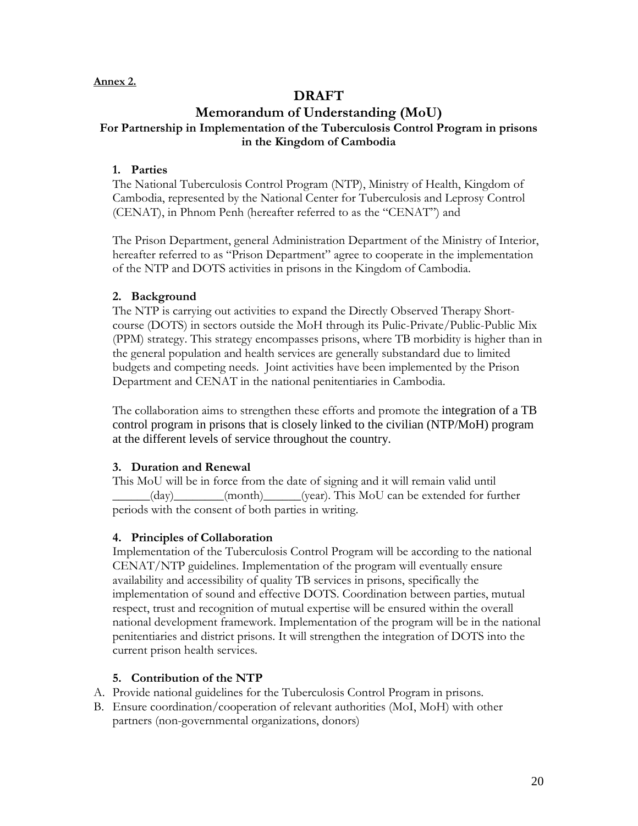### Annex 2.

# DRAFT

# Memorandum of Understanding (MoU) For Partnership in Implementation of the Tuberculosis Control Program in prisons in the Kingdom of Cambodia

### 1. Parties

The National Tuberculosis Control Program (NTP), Ministry of Health, Kingdom of Cambodia, represented by the National Center for Tuberculosis and Leprosy Control (CENAT), in Phnom Penh (hereafter referred to as the "CENAT") and

The Prison Department, general Administration Department of the Ministry of Interior, hereafter referred to as "Prison Department" agree to cooperate in the implementation of the NTP and DOTS activities in prisons in the Kingdom of Cambodia.

### 2. Background

The NTP is carrying out activities to expand the Directly Observed Therapy Shortcourse (DOTS) in sectors outside the MoH through its Pulic-Private/Public-Public Mix (PPM) strategy. This strategy encompasses prisons, where TB morbidity is higher than in the general population and health services are generally substandard due to limited budgets and competing needs. Joint activities have been implemented by the Prison Department and CENAT in the national penitentiaries in Cambodia.

The collaboration aims to strengthen these efforts and promote the integration of a TB control program in prisons that is closely linked to the civilian (NTP/MoH) program at the different levels of service throughout the country.

# 3. Duration and Renewal

This MoU will be in force from the date of signing and it will remain valid until \_\_\_\_\_\_(day)\_\_\_\_\_\_\_\_(month)\_\_\_\_\_\_(year). This MoU can be extended for further periods with the consent of both parties in writing.

# 4. Principles of Collaboration

Implementation of the Tuberculosis Control Program will be according to the national CENAT/NTP guidelines. Implementation of the program will eventually ensure availability and accessibility of quality TB services in prisons, specifically the implementation of sound and effective DOTS. Coordination between parties, mutual respect, trust and recognition of mutual expertise will be ensured within the overall national development framework. Implementation of the program will be in the national penitentiaries and district prisons. It will strengthen the integration of DOTS into the current prison health services.

# 5. Contribution of the NTP

- A. Provide national guidelines for the Tuberculosis Control Program in prisons.
- B. Ensure coordination/cooperation of relevant authorities (MoI, MoH) with other partners (non-governmental organizations, donors)